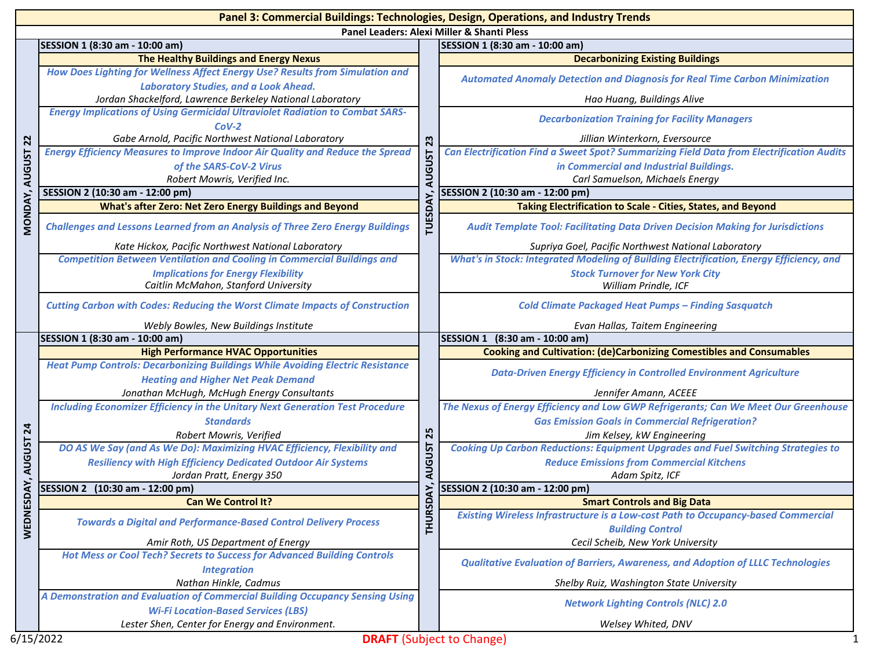|                 | Panel 3: Commercial Buildings: Technologies, Design, Operations, and Industry Trends                                               |                     |                                                                                                                              |
|-----------------|------------------------------------------------------------------------------------------------------------------------------------|---------------------|------------------------------------------------------------------------------------------------------------------------------|
|                 |                                                                                                                                    |                     | Panel Leaders: Alexi Miller & Shanti Pless                                                                                   |
|                 | SESSION 1 (8:30 am - 10:00 am)                                                                                                     |                     | SESSION 1 (8:30 am - 10:00 am)                                                                                               |
|                 | The Healthy Buildings and Energy Nexus                                                                                             |                     | <b>Decarbonizing Existing Buildings</b>                                                                                      |
|                 | How Does Lighting for Wellness Affect Energy Use? Results from Simulation and<br><b>Laboratory Studies, and a Look Ahead.</b>      | 23<br><b>AUGUST</b> | <b>Automated Anomaly Detection and Diagnosis for Real Time Carbon Minimization</b>                                           |
|                 | Jordan Shackelford, Lawrence Berkeley National Laboratory                                                                          |                     | Hao Huang, Buildings Alive                                                                                                   |
|                 | <b>Energy Implications of Using Germicidal Ultraviolet Radiation to Combat SARS-</b><br>$COV-2$                                    |                     | <b>Decarbonization Training for Facility Managers</b>                                                                        |
| $\overline{2}$  | Gabe Arnold, Pacific Northwest National Laboratory                                                                                 |                     | Jillian Winterkorn, Eversource                                                                                               |
| <b>AUGUST</b>   | <b>Energy Efficiency Measures to Improve Indoor Air Quality and Reduce the Spread</b>                                              |                     | Can Electrification Find a Sweet Spot? Summarizing Field Data from Electrification Audits                                    |
|                 | of the SARS-CoV-2 Virus                                                                                                            |                     | in Commercial and Industrial Buildings.                                                                                      |
|                 | Robert Mowris, Verified Inc.                                                                                                       |                     | Carl Samuelson, Michaels Energy                                                                                              |
|                 | SESSION 2 (10:30 am - 12:00 pm)                                                                                                    |                     | SESSION 2 (10:30 am - 12:00 pm)                                                                                              |
|                 | <b>What's after Zero: Net Zero Energy Buildings and Beyond</b>                                                                     |                     | Taking Electrification to Scale - Cities, States, and Beyond                                                                 |
| MONDAY,         | <b>Challenges and Lessons Learned from an Analysis of Three Zero Energy Buildings</b>                                              | 53<br>Ē             | <b>Audit Template Tool: Facilitating Data Driven Decision Making for Jurisdictions</b>                                       |
|                 | Kate Hickox, Pacific Northwest National Laboratory                                                                                 |                     | Supriya Goel, Pacific Northwest National Laboratory                                                                          |
|                 | <b>Competition Between Ventilation and Cooling in Commercial Buildings and</b>                                                     |                     | What's in Stock: Integrated Modeling of Building Electrification, Energy Efficiency, and                                     |
|                 | <b>Implications for Energy Flexibility</b>                                                                                         |                     | <b>Stock Turnover for New York City</b>                                                                                      |
|                 | Caitlin McMahon, Stanford University                                                                                               |                     | William Prindle, ICF                                                                                                         |
|                 | <b>Cutting Carbon with Codes: Reducing the Worst Climate Impacts of Construction</b>                                               |                     | <b>Cold Climate Packaged Heat Pumps - Finding Sasquatch</b>                                                                  |
|                 | Webly Bowles, New Buildings Institute                                                                                              |                     | Evan Hallas, Taitem Engineering                                                                                              |
|                 | SESSION 1 (8:30 am - 10:00 am)                                                                                                     |                     | SESSION 1 (8:30 am - 10:00 am)                                                                                               |
|                 | <b>High Performance HVAC Opportunities</b>                                                                                         |                     | <b>Cooking and Cultivation: (de)Carbonizing Comestibles and Consumables</b>                                                  |
|                 |                                                                                                                                    |                     |                                                                                                                              |
|                 | <b>Heat Pump Controls: Decarbonizing Buildings While Avoiding Electric Resistance</b>                                              |                     | <b>Data-Driven Energy Efficiency in Controlled Environment Agriculture</b>                                                   |
|                 | <b>Heating and Higher Net Peak Demand</b>                                                                                          |                     |                                                                                                                              |
|                 | Jonathan McHugh, McHugh Energy Consultants<br><b>Including Economizer Efficiency in the Unitary Next Generation Test Procedure</b> |                     | Jennifer Amann, ACEEE<br>The Nexus of Energy Efficiency and Low GWP Refrigerants; Can We Meet Our Greenhouse                 |
|                 | <b>Standards</b>                                                                                                                   |                     | <b>Gas Emission Goals in Commercial Refrigeration?</b>                                                                       |
| $\overline{24}$ | Robert Mowris, Verified                                                                                                            | 25                  | Jim Kelsey, kW Engineering                                                                                                   |
|                 | DO AS We Say (and As We Do): Maximizing HVAC Efficiency, Flexibility and                                                           |                     | <b>Cooking Up Carbon Reductions: Equipment Upgrades and Fuel Switching Strategies to</b>                                     |
|                 | <b>Resiliency with High Efficiency Dedicated Outdoor Air Systems</b>                                                               |                     | <b>Reduce Emissions from Commercial Kitchens</b>                                                                             |
| <b>AUGUST</b>   | Jordan Pratt, Energy 350                                                                                                           | RUGUST              | Adam Spitz, ICF                                                                                                              |
|                 | SESSION 2 (10:30 am - 12:00 pm)                                                                                                    |                     | SESSION 2 (10:30 am - 12:00 pm)                                                                                              |
| SDAY,           | <b>Can We Control It?</b>                                                                                                          | ζÁ                  | <b>Smart Controls and Big Data</b>                                                                                           |
|                 | <b>Towards a Digital and Performance-Based Control Delivery Process</b>                                                            |                     | Existing Wireless Infrastructure is a Low-cost Path to Occupancy-based Commercial                                            |
| WEDNE:          |                                                                                                                                    | <b>THURS</b>        | <b>Building Control</b>                                                                                                      |
|                 | Amir Roth, US Department of Energy<br>Hot Mess or Cool Tech? Secrets to Success for Advanced Building Controls                     |                     | Cecil Scheib, New York University<br><b>Qualitative Evaluation of Barriers, Awareness, and Adoption of LLLC Technologies</b> |
|                 | <b>Integration</b>                                                                                                                 |                     |                                                                                                                              |
|                 | Nathan Hinkle, Cadmus                                                                                                              |                     | Shelby Ruiz, Washington State University                                                                                     |
|                 | A Demonstration and Evaluation of Commercial Building Occupancy Sensing Using<br><b>Wi-Fi Location-Based Services (LBS)</b>        |                     | <b>Network Lighting Controls (NLC) 2.0</b>                                                                                   |
|                 | Lester Shen, Center for Energy and Environment.                                                                                    |                     | Welsey Whited, DNV                                                                                                           |